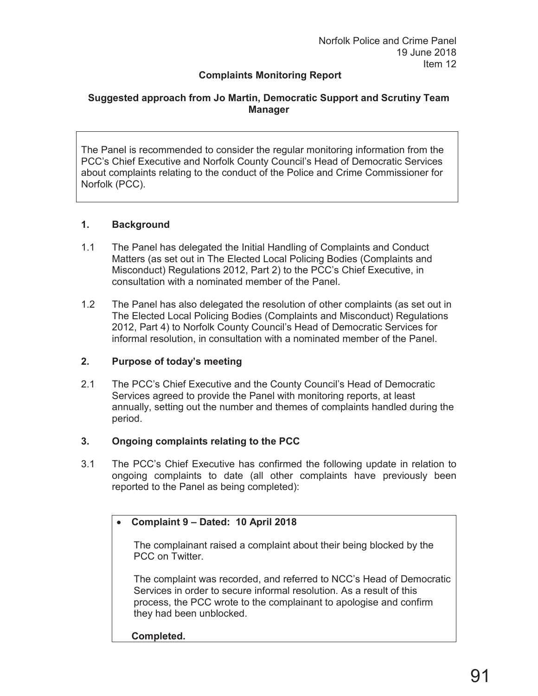# **Complaints Monitoring Report**

## **Suggested approach from Jo Martin, Democratic Support and Scrutiny Team Manager**

The Panel is recommended to consider the regular monitoring information from the PCC's Chief Executive and Norfolk County Council's Head of Democratic Services about complaints relating to the conduct of the Police and Crime Commissioner for Norfolk (PCC).

## **1. Background**

- 1.1 The Panel has delegated the Initial Handling of Complaints and Conduct Matters (as set out in The Elected Local Policing Bodies (Complaints and Misconduct) Regulations 2012, Part 2) to the PCC's Chief Executive, in consultation with a nominated member of the Panel.
- 1.2 The Panel has also delegated the resolution of other complaints (as set out in The Elected Local Policing Bodies (Complaints and Misconduct) Regulations 2012, Part 4) to Norfolk County Council's Head of Democratic Services for informal resolution, in consultation with a nominated member of the Panel.

### **2. Purpose of today's meeting**

2.1 The PCC's Chief Executive and the County Council's Head of Democratic Services agreed to provide the Panel with monitoring reports, at least annually, setting out the number and themes of complaints handled during the period.

### **3. Ongoing complaints relating to the PCC**

3.1 The PCC's Chief Executive has confirmed the following update in relation to ongoing complaints to date (all other complaints have previously been reported to the Panel as being completed):

## x **Complaint 9 – Dated: 10 April 2018**

The complainant raised a complaint about their being blocked by the PCC on Twitter.

The complaint was recorded, and referred to NCC's Head of Democratic Services in order to secure informal resolution. As a result of this process, the PCC wrote to the complainant to apologise and confirm they had been unblocked.

### **Completed.**